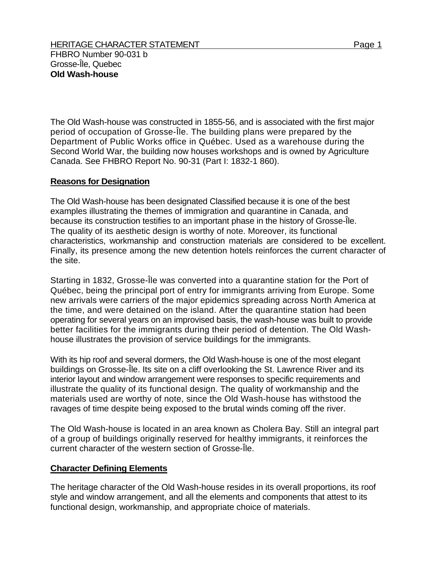The Old Wash-house was constructed in 1855-56, and is associated with the first major period of occupation of Grosse-Île. The building plans were prepared by the Department of Public Works office in Québec. Used as a warehouse during the Second World War, the building now houses workshops and is owned by Agriculture Canada. See FHBRO Report No. 90-31 (Part I: 1832-1 860).

## **Reasons for Designation**

The Old Wash-house has been designated Classified because it is one of the best examples illustrating the themes of immigration and quarantine in Canada, and because its construction testifies to an important phase in the history of Grosse-Île. The quality of its aesthetic design is worthy of note. Moreover, its functional characteristics, workmanship and construction materials are considered to be excellent. Finally, its presence among the new detention hotels reinforces the current character of the site.

Starting in 1832, Grosse-Île was converted into a quarantine station for the Port of Québec, being the principal port of entry for immigrants arriving from Europe. Some new arrivals were carriers of the major epidemics spreading across North America at the time, and were detained on the island. After the quarantine station had been operating for several years on an improvised basis, the wash-house was built to provide better facilities for the immigrants during their period of detention. The Old Washhouse illustrates the provision of service buildings for the immigrants.

With its hip roof and several dormers, the Old Wash-house is one of the most elegant buildings on Grosse-Île. Its site on a cliff overlooking the St. Lawrence River and its interior layout and window arrangement were responses to specific requirements and illustrate the quality of its functional design. The quality of workmanship and the materials used are worthy of note, since the Old Wash-house has withstood the ravages of time despite being exposed to the brutal winds coming off the river.

The Old Wash-house is located in an area known as Cholera Bay. Still an integral part of a group of buildings originally reserved for healthy immigrants, it reinforces the current character of the western section of Grosse-Île.

## **Character Defining Elements**

The heritage character of the Old Wash-house resides in its overall proportions, its roof style and window arrangement, and all the elements and components that attest to its functional design, workmanship, and appropriate choice of materials.